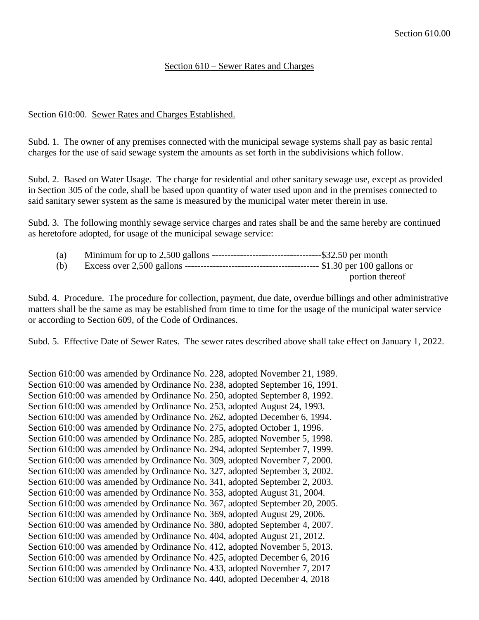## Section 610 – Sewer Rates and Charges

## Section 610:00. Sewer Rates and Charges Established.

Subd. 1. The owner of any premises connected with the municipal sewage systems shall pay as basic rental charges for the use of said sewage system the amounts as set forth in the subdivisions which follow.

Subd. 2. Based on Water Usage. The charge for residential and other sanitary sewage use, except as provided in Section 305 of the code, shall be based upon quantity of water used upon and in the premises connected to said sanitary sewer system as the same is measured by the municipal water meter therein in use.

Subd. 3. The following monthly sewage service charges and rates shall be and the same hereby are continued as heretofore adopted, for usage of the municipal sewage service:

| $\left( a\right)$ |                 |
|-------------------|-----------------|
| (b)               |                 |
|                   | portion thereof |

Subd. 4. Procedure. The procedure for collection, payment, due date, overdue billings and other administrative matters shall be the same as may be established from time to time for the usage of the municipal water service or according to Section 609, of the Code of Ordinances.

Subd. 5. Effective Date of Sewer Rates. The sewer rates described above shall take effect on January 1, 2022.

Section 610:00 was amended by Ordinance No. 228, adopted November 21, 1989. Section 610:00 was amended by Ordinance No. 238, adopted September 16, 1991. Section 610:00 was amended by Ordinance No. 250, adopted September 8, 1992. Section 610:00 was amended by Ordinance No. 253, adopted August 24, 1993. Section 610:00 was amended by Ordinance No. 262, adopted December 6, 1994. Section 610:00 was amended by Ordinance No. 275, adopted October 1, 1996. Section 610:00 was amended by Ordinance No. 285, adopted November 5, 1998. Section 610:00 was amended by Ordinance No. 294, adopted September 7, 1999. Section 610:00 was amended by Ordinance No. 309, adopted November 7, 2000. Section 610:00 was amended by Ordinance No. 327, adopted September 3, 2002. Section 610:00 was amended by Ordinance No. 341, adopted September 2, 2003. Section 610:00 was amended by Ordinance No. 353, adopted August 31, 2004. Section 610:00 was amended by Ordinance No. 367, adopted September 20, 2005. Section 610:00 was amended by Ordinance No. 369, adopted August 29, 2006. Section 610:00 was amended by Ordinance No. 380, adopted September 4, 2007. Section 610:00 was amended by Ordinance No. 404, adopted August 21, 2012. Section 610:00 was amended by Ordinance No. 412, adopted November 5, 2013. Section 610:00 was amended by Ordinance No. 425, adopted December 6, 2016 Section 610:00 was amended by Ordinance No. 433, adopted November 7, 2017 Section 610:00 was amended by Ordinance No. 440, adopted December 4, 2018